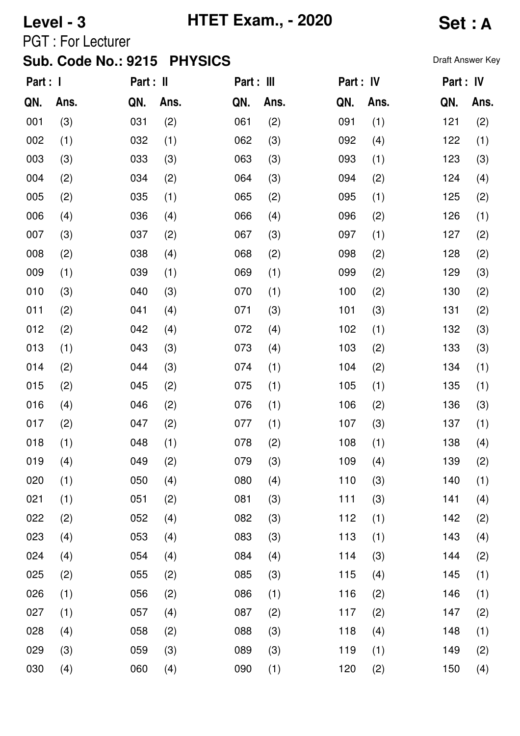# **Level - 3 HTET Exam., - 2020 Set : A**

PGT : For Lecturer

| Part : I |      | Part : II |      | Part : III |      | Part : IV |      | Part : IV |      |
|----------|------|-----------|------|------------|------|-----------|------|-----------|------|
| QN.      | Ans. | QN.       | Ans. | QN.        | Ans. | QN.       | Ans. | QN.       | Ans. |
| 001      | (3)  | 031       | (2)  | 061        | (2)  | 091       | (1)  | 121       | (2)  |
| 002      | (1)  | 032       | (1)  | 062        | (3)  | 092       | (4)  | 122       | (1)  |
| 003      | (3)  | 033       | (3)  | 063        | (3)  | 093       | (1)  | 123       | (3)  |
| 004      | (2)  | 034       | (2)  | 064        | (3)  | 094       | (2)  | 124       | (4)  |
| 005      | (2)  | 035       | (1)  | 065        | (2)  | 095       | (1)  | 125       | (2)  |
| 006      | (4)  | 036       | (4)  | 066        | (4)  | 096       | (2)  | 126       | (1)  |
| 007      | (3)  | 037       | (2)  | 067        | (3)  | 097       | (1)  | 127       | (2)  |
| 008      | (2)  | 038       | (4)  | 068        | (2)  | 098       | (2)  | 128       | (2)  |
| 009      | (1)  | 039       | (1)  | 069        | (1)  | 099       | (2)  | 129       | (3)  |
| 010      | (3)  | 040       | (3)  | 070        | (1)  | 100       | (2)  | 130       | (2)  |
| 011      | (2)  | 041       | (4)  | 071        | (3)  | 101       | (3)  | 131       | (2)  |
| 012      | (2)  | 042       | (4)  | 072        | (4)  | 102       | (1)  | 132       | (3)  |
| 013      | (1)  | 043       | (3)  | 073        | (4)  | 103       | (2)  | 133       | (3)  |
| 014      | (2)  | 044       | (3)  | 074        | (1)  | 104       | (2)  | 134       | (1)  |
| 015      | (2)  | 045       | (2)  | 075        | (1)  | 105       | (1)  | 135       | (1)  |
| 016      | (4)  | 046       | (2)  | 076        | (1)  | 106       | (2)  | 136       | (3)  |
| 017      | (2)  | 047       | (2)  | 077        | (1)  | 107       | (3)  | 137       | (1)  |
| 018      | (1)  | 048       | (1)  | 078        | (2)  | 108       | (1)  | 138       | (4)  |
| 019      | (4)  | 049       | (2)  | 079        | (3)  | 109       | (4)  | 139       | (2)  |
| 020      | (1)  | 050       | (4)  | 080        | (4)  | 110       | (3)  | 140       | (1)  |
| 021      | (1)  | 051       | (2)  | 081        | (3)  | 111       | (3)  | 141       | (4)  |
| 022      | (2)  | 052       | (4)  | 082        | (3)  | 112       | (1)  | 142       | (2)  |
| 023      | (4)  | 053       | (4)  | 083        | (3)  | 113       | (1)  | 143       | (4)  |
| 024      | (4)  | 054       | (4)  | 084        | (4)  | 114       | (3)  | 144       | (2)  |
| 025      | (2)  | 055       | (2)  | 085        | (3)  | 115       | (4)  | 145       | (1)  |
| 026      | (1)  | 056       | (2)  | 086        | (1)  | 116       | (2)  | 146       | (1)  |
| 027      | (1)  | 057       | (4)  | 087        | (2)  | 117       | (2)  | 147       | (2)  |
| 028      | (4)  | 058       | (2)  | 088        | (3)  | 118       | (4)  | 148       | (1)  |
| 029      | (3)  | 059       | (3)  | 089        | (3)  | 119       | (1)  | 149       | (2)  |
| 030      | (4)  | 060       | (4)  | 090        | (1)  | 120       | (2)  | 150       | (4)  |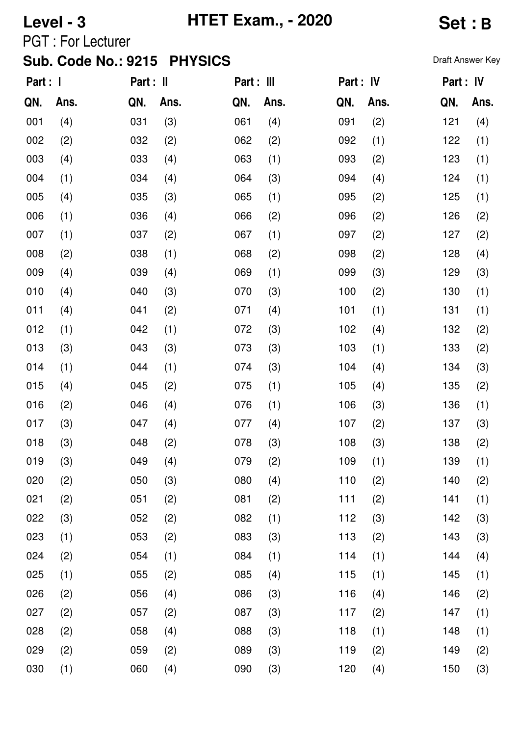# **Level - 3 HTET Exam., - 2020 Set : B**

PGT : For Lecturer

| Part : I |      | Part : II |      | Part : III |      | Part : IV |      | Part : IV |      |
|----------|------|-----------|------|------------|------|-----------|------|-----------|------|
| QN.      | Ans. | QN.       | Ans. | QN.        | Ans. | QN.       | Ans. | QN.       | Ans. |
| 001      | (4)  | 031       | (3)  | 061        | (4)  | 091       | (2)  | 121       | (4)  |
| 002      | (2)  | 032       | (2)  | 062        | (2)  | 092       | (1)  | 122       | (1)  |
| 003      | (4)  | 033       | (4)  | 063        | (1)  | 093       | (2)  | 123       | (1)  |
| 004      | (1)  | 034       | (4)  | 064        | (3)  | 094       | (4)  | 124       | (1)  |
| 005      | (4)  | 035       | (3)  | 065        | (1)  | 095       | (2)  | 125       | (1)  |
| 006      | (1)  | 036       | (4)  | 066        | (2)  | 096       | (2)  | 126       | (2)  |
| 007      | (1)  | 037       | (2)  | 067        | (1)  | 097       | (2)  | 127       | (2)  |
| 008      | (2)  | 038       | (1)  | 068        | (2)  | 098       | (2)  | 128       | (4)  |
| 009      | (4)  | 039       | (4)  | 069        | (1)  | 099       | (3)  | 129       | (3)  |
| 010      | (4)  | 040       | (3)  | 070        | (3)  | 100       | (2)  | 130       | (1)  |
| 011      | (4)  | 041       | (2)  | 071        | (4)  | 101       | (1)  | 131       | (1)  |
| 012      | (1)  | 042       | (1)  | 072        | (3)  | 102       | (4)  | 132       | (2)  |
| 013      | (3)  | 043       | (3)  | 073        | (3)  | 103       | (1)  | 133       | (2)  |
| 014      | (1)  | 044       | (1)  | 074        | (3)  | 104       | (4)  | 134       | (3)  |
| 015      | (4)  | 045       | (2)  | 075        | (1)  | 105       | (4)  | 135       | (2)  |
| 016      | (2)  | 046       | (4)  | 076        | (1)  | 106       | (3)  | 136       | (1)  |
| 017      | (3)  | 047       | (4)  | 077        | (4)  | 107       | (2)  | 137       | (3)  |
| 018      | (3)  | 048       | (2)  | 078        | (3)  | 108       | (3)  | 138       | (2)  |
| 019      | (3)  | 049       | (4)  | 079        | (2)  | 109       | (1)  | 139       | (1)  |
| 020      | (2)  | 050       | (3)  | 080        | (4)  | 110       | (2)  | 140       | (2)  |
| 021      | (2)  | 051       | (2)  | 081        | (2)  | 111       | (2)  | 141       | (1)  |
| 022      | (3)  | 052       | (2)  | 082        | (1)  | 112       | (3)  | 142       | (3)  |
| 023      | (1)  | 053       | (2)  | 083        | (3)  | 113       | (2)  | 143       | (3)  |
| 024      | (2)  | 054       | (1)  | 084        | (1)  | 114       | (1)  | 144       | (4)  |
| 025      | (1)  | 055       | (2)  | 085        | (4)  | 115       | (1)  | 145       | (1)  |
| 026      | (2)  | 056       | (4)  | 086        | (3)  | 116       | (4)  | 146       | (2)  |
| 027      | (2)  | 057       | (2)  | 087        | (3)  | 117       | (2)  | 147       | (1)  |
| 028      | (2)  | 058       | (4)  | 088        | (3)  | 118       | (1)  | 148       | (1)  |
| 029      | (2)  | 059       | (2)  | 089        | (3)  | 119       | (2)  | 149       | (2)  |
| 030      | (1)  | 060       | (4)  | 090        | (3)  | 120       | (4)  | 150       | (3)  |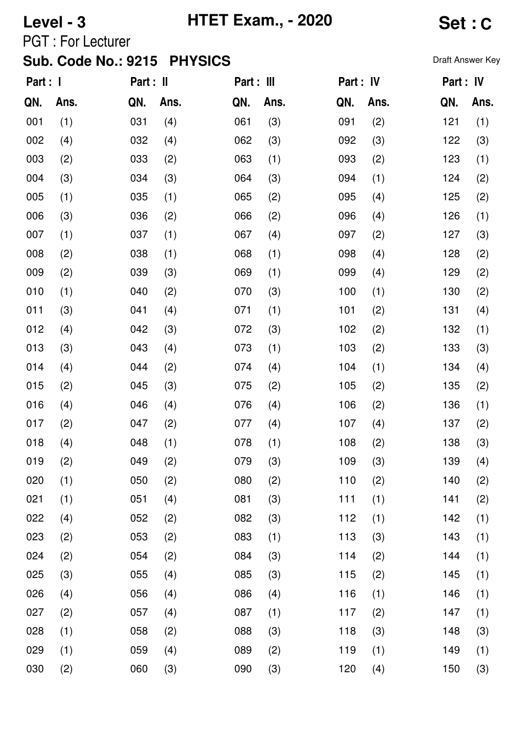# **Level - 3 HTET Exam., - 2020 Set : C**

PGT : For Lecturer

| Part : I |      | Part : II |      | Part : III |      | Part : IV |      | Part : IV |      |
|----------|------|-----------|------|------------|------|-----------|------|-----------|------|
| QN.      | Ans. | QN.       | Ans. | QN.        | Ans. | QN.       | Ans. | QN.       | Ans. |
| 001      | (1)  | 031       | (4)  | 061        | (3)  | 091       | (2)  | 121       | (1)  |
| 002      | (4)  | 032       | (4)  | 062        | (3)  | 092       | (3)  | 122       | (3)  |
| 003      | (2)  | 033       | (2)  | 063        | (1)  | 093       | (2)  | 123       | (1)  |
| 004      | (3)  | 034       | (3)  | 064        | (3)  | 094       | (1)  | 124       | (2)  |
| 005      | (1)  | 035       | (1)  | 065        | (2)  | 095       | (4)  | 125       | (2)  |
| 006      | (3)  | 036       | (2)  | 066        | (2)  | 096       | (4)  | 126       | (1)  |
| 007      | (1)  | 037       | (1)  | 067        | (4)  | 097       | (2)  | 127       | (3)  |
| 008      | (2)  | 038       | (1)  | 068        | (1)  | 098       | (4)  | 128       | (2)  |
| 009      | (2)  | 039       | (3)  | 069        | (1)  | 099       | (4)  | 129       | (2)  |
| 010      | (1)  | 040       | (2)  | 070        | (3)  | 100       | (1)  | 130       | (2)  |
| 011      | (3)  | 041       | (4)  | 071        | (1)  | 101       | (2)  | 131       | (4)  |
| 012      | (4)  | 042       | (3)  | 072        | (3)  | 102       | (2)  | 132       | (1)  |
| 013      | (3)  | 043       | (4)  | 073        | (1)  | 103       | (2)  | 133       | (3)  |
| 014      | (4)  | 044       | (2)  | 074        | (4)  | 104       | (1)  | 134       | (4)  |
| 015      | (2)  | 045       | (3)  | 075        | (2)  | 105       | (2)  | 135       | (2)  |
| 016      | (4)  | 046       | (4)  | 076        | (4)  | 106       | (2)  | 136       | (1)  |
| 017      | (2)  | 047       | (2)  | 077        | (4)  | 107       | (4)  | 137       | (2)  |
| 018      | (4)  | 048       | (1)  | 078        | (1)  | 108       | (2)  | 138       | (3)  |
| 019      | (2)  | 049       | (2)  | 079        | (3)  | 109       | (3)  | 139       | (4)  |
| 020      | (1)  | 050       | (2)  | 080        | (2)  | 110       | (2)  | 140       | (2)  |
| 021      | (1)  | 051       | (4)  | 081        | (3)  | 111       | (1)  | 141       | (2)  |
| 022      | (4)  | 052       | (2)  | 082        | (3)  | 112       | (1)  | 142       | (1)  |
| 023      | (2)  | 053       | (2)  | 083        | (1)  | 113       | (3)  | 143       | (1)  |
| 024      | (2)  | 054       | (2)  | 084        | (3)  | 114       | (2)  | 144       | (1)  |
| 025      | (3)  | 055       | (4)  | 085        | (3)  | 115       | (2)  | 145       | (1)  |
| 026      | (4)  | 056       | (4)  | 086        | (4)  | 116       | (1)  | 146       | (1)  |
| 027      | (2)  | 057       | (4)  | 087        | (1)  | 117       | (2)  | 147       | (1)  |
| 028      | (1)  | 058       | (2)  | 088        | (3)  | 118       | (3)  | 148       | (3)  |
| 029      | (1)  | 059       | (4)  | 089        | (2)  | 119       | (1)  | 149       | (1)  |
| 030      | (2)  | 060       | (3)  | 090        | (3)  | 120       | (4)  | 150       | (3)  |